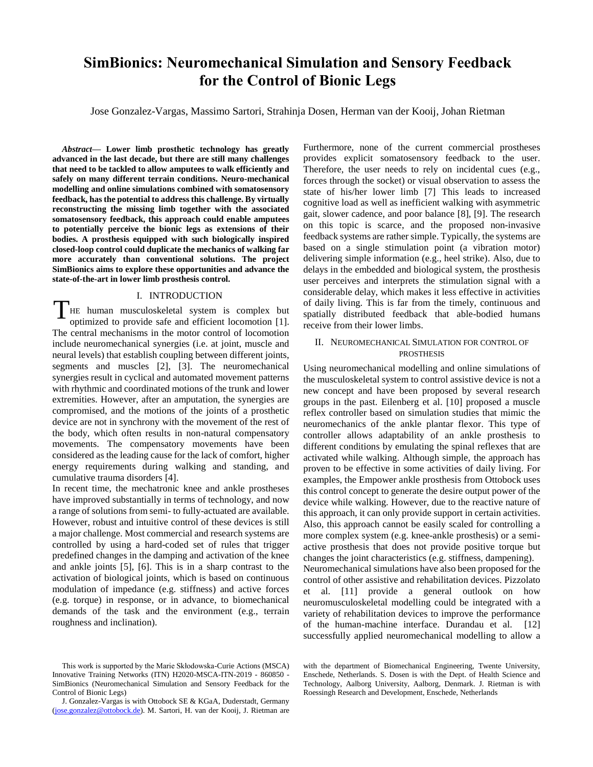# **SimBionics: Neuromechanical Simulation and Sensory Feedback for the Control of Bionic Legs**

Jose Gonzalez-Vargas, Massimo Sartori, Strahinja Dosen, Herman van der Kooij, Johan Rietman

*Abstract***— Lower limb prosthetic technology has greatly advanced in the last decade, but there are still many challenges that need to be tackled to allow amputees to walk efficiently and safely on many different terrain conditions. Neuro-mechanical modelling and online simulations combined with somatosensory feedback, has the potential to address this challenge. By virtually reconstructing the missing limb together with the associated somatosensory feedback, this approach could enable amputees to potentially perceive the bionic legs as extensions of their bodies. A prosthesis equipped with such biologically inspired closed-loop control could duplicate the mechanics of walking far more accurately than conventional solutions. The project SimBionics aims to explore these opportunities and advance the state-of-the-art in lower limb prosthesis control.**

#### I. INTRODUCTION

HE human musculoskeletal system is complex but optimized to provide safe and efficient locomotion [1]. The central mechanisms in the motor control of locomotion include neuromechanical synergies (i.e. at joint, muscle and neural levels) that establish coupling between different joints, segments and muscles [2], [3]. The neuromechanical synergies result in cyclical and automated movement patterns with rhythmic and coordinated motions of the trunk and lower extremities. However, after an amputation, the synergies are compromised, and the motions of the joints of a prosthetic device are not in synchrony with the movement of the rest of the body, which often results in non-natural compensatory movements. The compensatory movements have been considered as the leading cause for the lack of comfort, higher energy requirements during walking and standing, and cumulative trauma disorders [4]. T

In recent time, the mechatronic knee and ankle prostheses have improved substantially in terms of technology, and now a range of solutions from semi- to fully-actuated are available. However, robust and intuitive control of these devices is still a major challenge. Most commercial and research systems are controlled by using a hard-coded set of rules that trigger predefined changes in the damping and activation of the knee and ankle joints [5], [6]. This is in a sharp contrast to the activation of biological joints, which is based on continuous modulation of impedance (e.g. stiffness) and active forces (e.g. torque) in response, or in advance, to biomechanical demands of the task and the environment (e.g., terrain roughness and inclination).

Furthermore, none of the current commercial prostheses provides explicit somatosensory feedback to the user. Therefore, the user needs to rely on incidental cues (e.g., forces through the socket) or visual observation to assess the state of his/her lower limb [7] This leads to increased cognitive load as well as inefficient walking with asymmetric gait, slower cadence, and poor balance [8], [9]. The research on this topic is scarce, and the proposed non-invasive feedback systems are rather simple. Typically, the systems are based on a single stimulation point (a vibration motor) delivering simple information (e.g., heel strike). Also, due to delays in the embedded and biological system, the prosthesis user perceives and interprets the stimulation signal with a considerable delay, which makes it less effective in activities of daily living. This is far from the timely, continuous and spatially distributed feedback that able-bodied humans receive from their lower limbs.

## II. NEUROMECHANICAL SIMULATION FOR CONTROL OF PROSTHESIS

Using neuromechanical modelling and online simulations of the musculoskeletal system to control assistive device is not a new concept and have been proposed by several research groups in the past. Eilenberg et al. [10] proposed a muscle reflex controller based on simulation studies that mimic the neuromechanics of the ankle plantar flexor. This type of controller allows adaptability of an ankle prosthesis to different conditions by emulating the spinal reflexes that are activated while walking. Although simple, the approach has proven to be effective in some activities of daily living. For examples, the Empower ankle prosthesis from Ottobock uses this control concept to generate the desire output power of the device while walking. However, due to the reactive nature of this approach, it can only provide support in certain activities. Also, this approach cannot be easily scaled for controlling a more complex system (e.g. knee-ankle prosthesis) or a semiactive prosthesis that does not provide positive torque but changes the joint characteristics (e.g. stiffness, dampening). Neuromechanical simulations have also been proposed for the control of other assistive and rehabilitation devices. Pizzolato et al. [11] provide a general outlook on how neuromusculoskeletal modelling could be integrated with a variety of rehabilitation devices to improve the performance of the human-machine interface. Durandau et al. [12]

with the department of Biomechanical Engineering, Twente University, Enschede, Netherlands. S. Dosen is with the Dept. of Health Science and Technology, Aalborg University, Aalborg, Denmark. J. Rietman is with Roessingh Research and Development, Enschede, Netherlands

successfully applied neuromechanical modelling to allow a

This work is supported by the Marie Skłodowska-Curie Actions (MSCA) Innovative Training Networks (ITN) H2020-MSCA-ITN-2019 - 860850 - SimBionics (Neuromechanical Simulation and Sensory Feedback for the Control of Bionic Legs)

J. Gonzalez-Vargas is with Ottobock SE & KGaA, Duderstadt, Germany [\(jose.gonzalez@ottobock.de\)](mailto:jose.gonzalez@ottobock.de). M. Sartori, H. van der Kooij, J. Rietman are